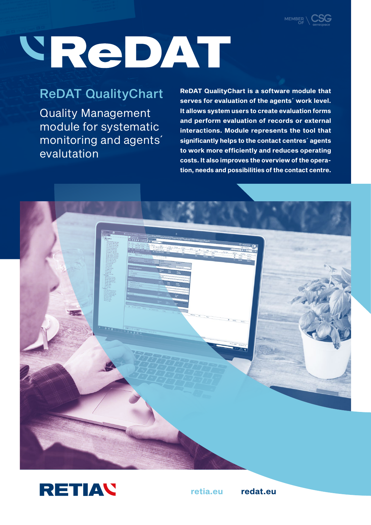

# VReDAT

# ReDAT QualityChart

Quality Management module for systematic monitoring and agents´ evalutation

**ReDAT QualityChart is a software module that serves for evaluation of the agents´ work level. It allows system users to create evaluation forms and perform evaluation of records or external interactions. Module represents the tool that significantly helps to the contact centres´ agents to work more efficiently and reduces operating costs. It also improves the overview of the operation, needs and possibilities of the contact centre.**





**retia.eu redat.eu**